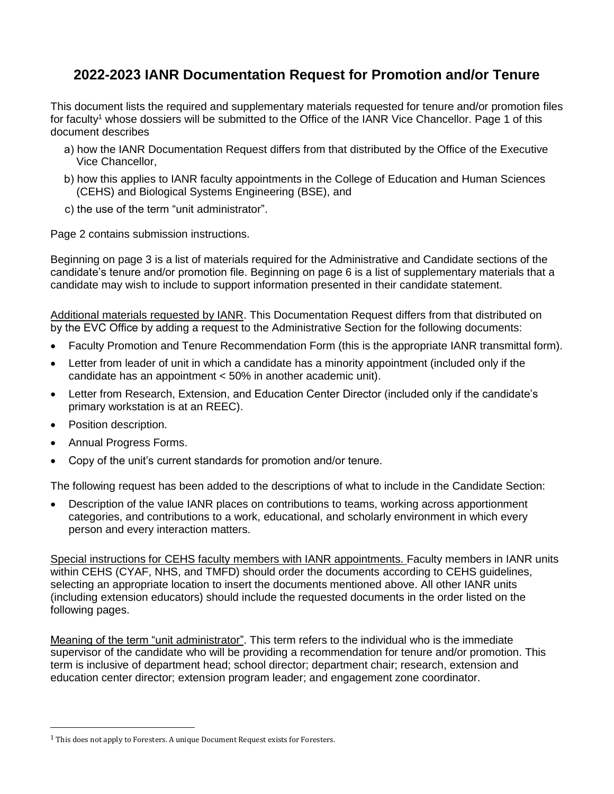# **2022-2023 IANR Documentation Request for Promotion and/or Tenure**

This document lists the required and supplementary materials requested for tenure and/or promotion files for faculty<sup>1</sup> whose dossiers will be submitted to the Office of the IANR Vice Chancellor. Page 1 of this document describes

- a) how the IANR Documentation Request differs from that distributed by the Office of the Executive Vice Chancellor,
- b) how this applies to IANR faculty appointments in the College of Education and Human Sciences (CEHS) and Biological Systems Engineering (BSE), and
- c) the use of the term "unit administrator".

Page 2 contains submission instructions.

Beginning on page 3 is a list of materials required for the Administrative and Candidate sections of the candidate's tenure and/or promotion file. Beginning on page 6 is a list of supplementary materials that a candidate may wish to include to support information presented in their candidate statement.

Additional materials requested by IANR. This Documentation Request differs from that distributed on by the EVC Office by adding a request to the Administrative Section for the following documents:

- Faculty Promotion and Tenure Recommendation Form (this is the appropriate IANR transmittal form).
- Letter from leader of unit in which a candidate has a minority appointment (included only if the candidate has an appointment < 50% in another academic unit).
- Letter from Research, Extension, and Education Center Director (included only if the candidate's primary workstation is at an REEC).
- Position description.
- Annual Progress Forms.
- Copy of the unit's current standards for promotion and/or tenure.

The following request has been added to the descriptions of what to include in the Candidate Section:

 Description of the value IANR places on contributions to teams, working across apportionment categories, and contributions to a work, educational, and scholarly environment in which every person and every interaction matters.

Special instructions for CEHS faculty members with IANR appointments. Faculty members in IANR units within CEHS (CYAF, NHS, and TMFD) should order the documents according to CEHS guidelines, selecting an appropriate location to insert the documents mentioned above. All other IANR units (including extension educators) should include the requested documents in the order listed on the following pages.

Meaning of the term "unit administrator". This term refers to the individual who is the immediate supervisor of the candidate who will be providing a recommendation for tenure and/or promotion. This term is inclusive of department head; school director; department chair; research, extension and education center director; extension program leader; and engagement zone coordinator.

 $1$  This does not apply to Foresters. A unique Document Request exists for Foresters.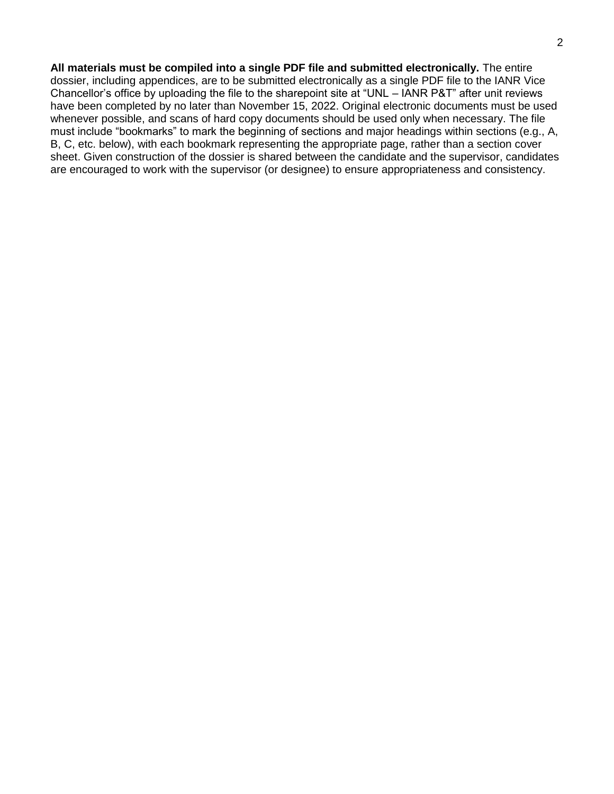**All materials must be compiled into a single PDF file and submitted electronically.** The entire dossier, including appendices, are to be submitted electronically as a single PDF file to the IANR Vice Chancellor's office by uploading the file to the sharepoint site at "UNL – IANR P&T" after unit reviews have been completed by no later than November 15, 2022. Original electronic documents must be used whenever possible, and scans of hard copy documents should be used only when necessary. The file must include "bookmarks" to mark the beginning of sections and major headings within sections (e.g., A, B, C, etc. below), with each bookmark representing the appropriate page, rather than a section cover sheet. Given construction of the dossier is shared between the candidate and the supervisor, candidates are encouraged to work with the supervisor (or designee) to ensure appropriateness and consistency.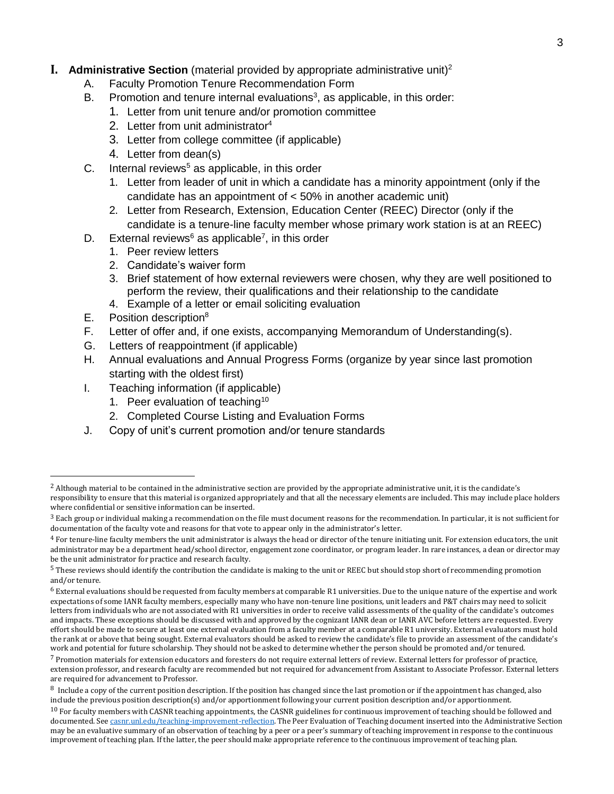## **I.** Administrative Section (material provided by appropriate administrative unit)<sup>2</sup>

- A. Faculty Promotion Tenure Recommendation Form
- B. Promotion and tenure internal e[valu](#page-2-0)ations<sup>3</sup>, as applicable, in this order:
	- 1. Letter from unit tenure and/or promotion committee
		- 2. Letter from unit administrator<sup>4</sup>
		- 3. Letter from college committee (if applicable)
		- 4. Letter fr[om](#page-2-1) dean(s)
- C. Internal reviews<sup>5</sup> as applicable, in this order
	- 1. Letter from leader of unit in which a candidate has a minority appointment (only if the candidate has an appointment of < 50% in another academic unit)
	- 2. Letter from Research, Extension, Education Center (REEC) Director (only if the candidate is a tenure-line faculty member whose primary work station is at an REEC)
- D. External reviews<sup>6</sup> as applicable<sup>7</sup>, in this order
	- 1. Peer review letters
	- 2. Candidate's waiver form
	- 3. Brief statement of how external reviewers were chosen, why they are well positioned to perform the review, their qualifications and their relationship to the candidate
	- 4. Example of a letter or email soliciting evaluation
- E. Position description<sup>8</sup>
- F. Letter of offer and, if one exists, accompanying Memorandum of Understanding(s).
- G. Letters of reappointment (if applicable)
- H. Annual evaluations and Annual Progress Forms (organize by year since last promotion starting with the oldest first)
- I. Teaching information (if applicable)
	- 1. Peer evaluation of teaching<sup>10</sup>
	- 2. Completed Course Listing and Evaluation Forms
- <span id="page-2-0"></span>J. Copy of unit's current promotion and/or tenure standards

<sup>2</sup> Although material to be contained in the administrative section are provided by the appropriate administrative unit, it is the candidate's

responsibility to ensure that this material is organized appropriately and that all the necessary elements are included. This may include place holders where confidential or sensitive information can be inserted.

<span id="page-2-1"></span> $3$  Each group or individual making a recommendation on the file must document reasons for the recommendation. In particular, it is not sufficient for documentation of the faculty vote and reasons for that vote to appear only in the administrator's letter.

<sup>4</sup> For tenure-line faculty members the unit administrator is always the head or director of the tenure initiating unit. For extension educators, the unit administrator may be a department head/school director, engagement zone coordinator, or program leader. In rare instances, a dean or director may be the unit administrator for practice and research faculty.

<sup>&</sup>lt;sup>5</sup> These reviews should identify the contribution the candidate is making to the unit or REEC but should stop short of recommending promotion and/or tenure.

 $6$  External evaluations should be requested from faculty members at comparable R1 universities. Due to the unique nature of the expertise and work expectations of some IANR faculty members, especially many who have non-tenure line positions, unit leaders and P&T chairs may need to solicit letters from individuals who are not associated with R1 universities in order to receive valid assessments of the quality of the candidate's outcomes and impacts. These exceptions should be discussed with and approved by the cognizant IANR dean or IANR AVC before letters are requested. Every effort should be made to secure at least one external evaluation from a faculty member at a comparable R1 university. External evaluators must hold the rank at or above that being sought. External evaluators should be asked to review the candidate's file to provide an assessment of the candidate's work and potential for future scholarship. They should not be asked to determine whether the person should be promoted and/or tenured.

 $7$  Promotion materials for extension educators and foresters do not require external letters of review. External letters for professor of practice, extension professor, and research faculty are recommended but not required for advancement from Assistant to Associate Professor. External letters are required for advancement to Professor.

<sup>8</sup> Include a copy of the current position description. If the position has changed since the last promotion or if the appointment has changed, also include the previous position description(s) and/or apportionment following your current position description and/or apportionment.

 $10$  For faculty members with CASNR teaching appointments, the CASNR guidelines for continuous improvement of teaching should be followed and documented. Se[e casnr.unl.edu/teaching-improvement-reflection.](https://casnr.unl.edu/teaching-improvement-reflection) The Peer Evaluation of Teaching document inserted into the Administrative Section may be an evaluative summary of an observation of teaching by a peer or a peer's summary of teaching improvement in response to the continuous improvement of teaching plan. If the latter, the peer should make appropriate reference to the continuous improvement of teaching plan.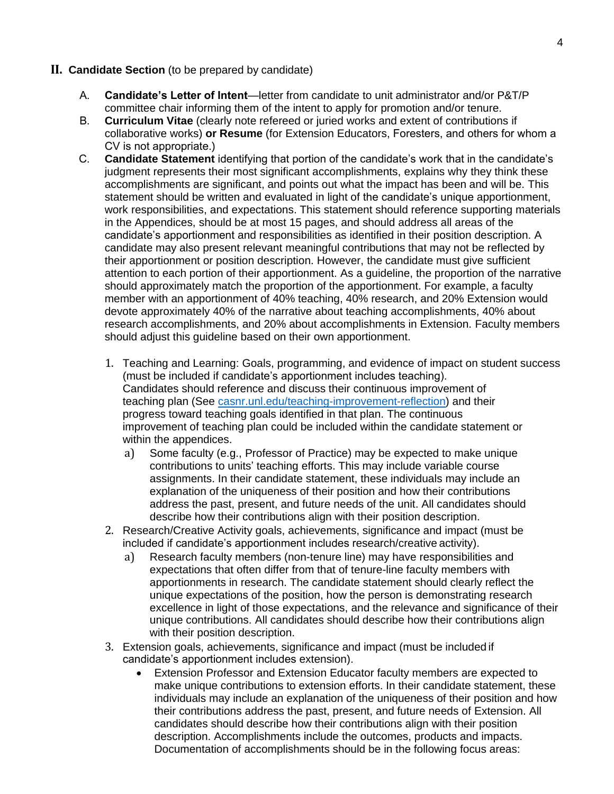## **II. Candidate Section** (to be prepared by candidate)

- A. **Candidate's Letter of Intent**—letter from candidate to unit administrator and/or P&T/P committee chair informing them of the intent to apply for promotion and/or tenure.
- B. **Curriculum Vitae** (clearly note refereed or juried works and extent of contributions if collaborative works) **or Resume** (for Extension Educators, Foresters, and others for whom a CV is not appropriate.)
- C. **Candidate Statement** identifying that portion of the candidate's work that in the candidate's judgment represents their most significant accomplishments, explains why they think these accomplishments are significant, and points out what the impact has been and will be. This statement should be written and evaluated in light of the candidate's unique apportionment, work responsibilities, and expectations. This statement should reference supporting materials in the Appendices, should be at most 15 pages, and should address all areas of the candidate's apportionment and responsibilities as identified in their position description. A candidate may also present relevant meaningful contributions that may not be reflected by their apportionment or position description. However, the candidate must give sufficient attention to each portion of their apportionment. As a guideline, the proportion of the narrative should approximately match the proportion of the apportionment. For example, a faculty member with an apportionment of 40% teaching, 40% research, and 20% Extension would devote approximately 40% of the narrative about teaching accomplishments, 40% about research accomplishments, and 20% about accomplishments in Extension. Faculty members should adjust this guideline based on their own apportionment.
	- 1. Teaching and Learning: Goals, programming, and evidence of impact on student success (must be included if candidate's apportionment includes teaching). Candidates should reference and discuss their continuous improvement of teaching plan (See [casnr.unl.edu/teaching-improvement-reflection\)](https://casnr.unl.edu/teaching-improvement-reflection) and their progress toward teaching goals identified in that plan. The continuous improvement of teaching plan could be included within the candidate statement or within the appendices.
		- a) Some faculty (e.g., Professor of Practice) may be expected to make unique contributions to units' teaching efforts. This may include variable course assignments. In their candidate statement, these individuals may include an explanation of the uniqueness of their position and how their contributions address the past, present, and future needs of the unit. All candidates should describe how their contributions align with their position description.
	- 2. Research/Creative Activity goals, achievements, significance and impact (must be included if candidate's apportionment includes research/creative activity).
		- a) Research faculty members (non-tenure line) may have responsibilities and expectations that often differ from that of tenure-line faculty members with apportionments in research. The candidate statement should clearly reflect the unique expectations of the position, how the person is demonstrating research excellence in light of those expectations, and the relevance and significance of their unique contributions. All candidates should describe how their contributions align with their position description.
	- 3. Extension goals, achievements, significance and impact (must be included if candidate's apportionment includes extension).
		- Extension Professor and Extension Educator faculty members are expected to make unique contributions to extension efforts. In their candidate statement, these individuals may include an explanation of the uniqueness of their position and how their contributions address the past, present, and future needs of Extension. All candidates should describe how their contributions align with their position description. Accomplishments include the outcomes, products and impacts. Documentation of accomplishments should be in the following focus areas: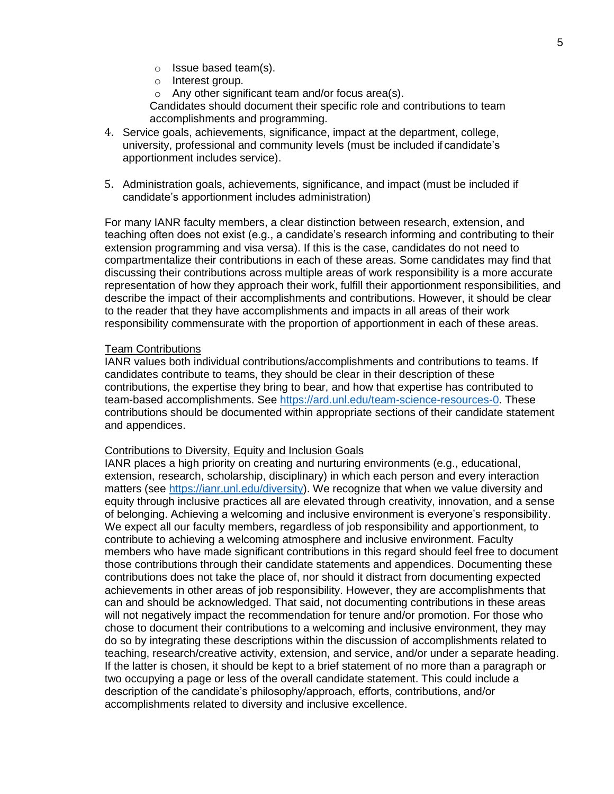- o Issue based team(s).
- o Interest group.
- o Any other significant team and/or focus area(s).

Candidates should document their specific role and contributions to team accomplishments and programming.

- 4. Service goals, achievements, significance, impact at the department, college, university, professional and community levels (must be included if candidate's apportionment includes service).
- 5. Administration goals, achievements, significance, and impact (must be included if candidate's apportionment includes administration)

For many IANR faculty members, a clear distinction between research, extension, and teaching often does not exist (e.g., a candidate's research informing and contributing to their extension programming and visa versa). If this is the case, candidates do not need to compartmentalize their contributions in each of these areas. Some candidates may find that discussing their contributions across multiple areas of work responsibility is a more accurate representation of how they approach their work, fulfill their apportionment responsibilities, and describe the impact of their accomplishments and contributions. However, it should be clear to the reader that they have accomplishments and impacts in all areas of their work responsibility commensurate with the proportion of apportionment in each of these areas.

#### Team Contributions

IANR values both individual contributions/accomplishments and contributions to teams. If candidates contribute to teams, they should be clear in their description of these contributions, the expertise they bring to bear, and how that expertise has contributed to team-based accomplishments. See [https://ard.unl.edu/team-science-resources-0.](https://ard.unl.edu/team-science-resources-0) These contributions should be documented within appropriate sections of their candidate statement and appendices.

#### Contributions to Diversity, Equity and Inclusion Goals

IANR places a high priority on creating and nurturing environments (e.g., educational, extension, research, scholarship, disciplinary) in which each person and every interaction matters (see [https://ianr.unl.edu/diversity\)](https://ianr.unl.edu/diversity). We recognize that when we value diversity and equity through inclusive practices all are elevated through creativity, innovation, and a sense of belonging. Achieving a welcoming and inclusive environment is everyone's responsibility. We expect all our faculty members, regardless of job responsibility and apportionment, to contribute to achieving a welcoming atmosphere and inclusive environment. Faculty members who have made significant contributions in this regard should feel free to document those contributions through their candidate statements and appendices. Documenting these contributions does not take the place of, nor should it distract from documenting expected achievements in other areas of job responsibility. However, they are accomplishments that can and should be acknowledged. That said, not documenting contributions in these areas will not negatively impact the recommendation for tenure and/or promotion. For those who chose to document their contributions to a welcoming and inclusive environment, they may do so by integrating these descriptions within the discussion of accomplishments related to teaching, research/creative activity, extension, and service, and/or under a separate heading. If the latter is chosen, it should be kept to a brief statement of no more than a paragraph or two occupying a page or less of the overall candidate statement. This could include a description of the candidate's philosophy/approach, efforts, contributions, and/or accomplishments related to diversity and inclusive excellence.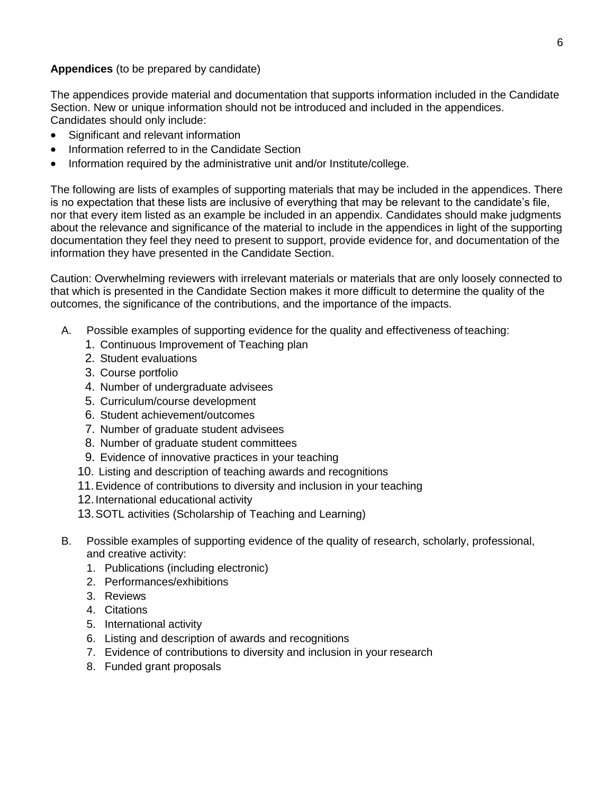### **Appendices** (to be prepared by candidate)

The appendices provide material and documentation that supports information included in the Candidate Section. New or unique information should not be introduced and included in the appendices. Candidates should only include:

- Significant and relevant information
- Information referred to in the Candidate Section
- Information required by the administrative unit and/or Institute/college.

The following are lists of examples of supporting materials that may be included in the appendices. There is no expectation that these lists are inclusive of everything that may be relevant to the candidate's file, nor that every item listed as an example be included in an appendix. Candidates should make judgments about the relevance and significance of the material to include in the appendices in light of the supporting documentation they feel they need to present to support, provide evidence for, and documentation of the information they have presented in the Candidate Section.

Caution: Overwhelming reviewers with irrelevant materials or materials that are only loosely connected to that which is presented in the Candidate Section makes it more difficult to determine the quality of the outcomes, the significance of the contributions, and the importance of the impacts.

- A. Possible examples of supporting evidence for the quality and effectiveness of teaching:
	- 1. Continuous Improvement of Teaching plan
	- 2. Student evaluations
	- 3. Course portfolio
	- 4. Number of undergraduate advisees
	- 5. Curriculum/course development
	- 6. Student achievement/outcomes
	- 7. Number of graduate student advisees
	- 8. Number of graduate student committees
	- 9. Evidence of innovative practices in your teaching
	- 10. Listing and description of teaching awards and recognitions
	- 11.Evidence of contributions to diversity and inclusion in your teaching
	- 12.International educational activity
	- 13.SOTL activities (Scholarship of Teaching and Learning)
- B. Possible examples of supporting evidence of the quality of research, scholarly, professional, and creative activity:
	- 1. Publications (including electronic)
	- 2. Performances/exhibitions
	- 3. Reviews
	- 4. Citations
	- 5. International activity
	- 6. Listing and description of awards and recognitions
	- 7. Evidence of contributions to diversity and inclusion in your research
	- 8. Funded grant proposals